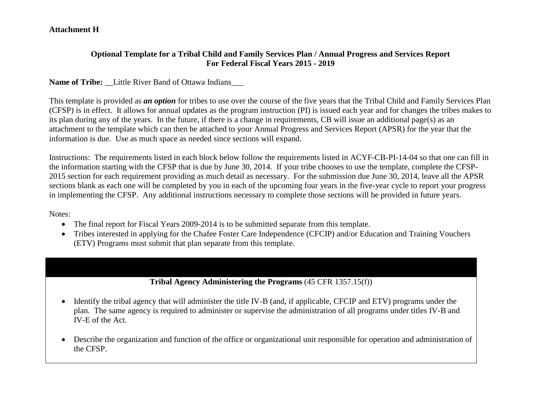#### **Attachment H**

#### **Optional Template for a Tribal Child and Family Services Plan / Annual Progress and Services Report For Federal Fiscal Years 2015 - 2019**

#### Name of Tribe: Little River Band of Ottawa Indians

This template is provided as *an option* for tribes to use over the course of the five years that the Tribal Child and Family Services Plan (CFSP) is in effect. It allows for annual updates as the program instruction (PI) is issued each year and for changes the tribes makes to its plan during any of the years. In the future, if there is a change in requirements, CB will issue an additional page(s) as an attachment to the template which can then be attached to your Annual Progress and Services Report (APSR) for the year that the information is due. Use as much space as needed since sections will expand.

Instructions: The requirements listed in each block below follow the requirements listed in ACYF-CB-PI-14-04 so that one can fill in the information starting with the CFSP that is due by June 30, 2014. If your tribe chooses to use the template, complete the CFSP-2015 section for each requirement providing as much detail as necessary. For the submission due June 30, 2014, leave all the APSR sections blank as each one will be completed by you in each of the upcoming four years in the five-year cycle to report your progress in implementing the CFSP. Any additional instructions necessary to complete those sections will be provided in future years.

Notes:

- The final report for Fiscal Years 2009-2014 is to be submitted separate from this template.
- Tribes interested in applying for the Chafee Foster Care Independence (CFCIP) and/or Education and Training Vouchers (ETV) Programs must submit that plan separate from this template.

#### **Tribal Agency Administering the Programs** (45 CFR 1357.15(f))

- Identify the tribal agency that will administer the title IV-B (and, if applicable, CFCIP and ETV) programs under the plan. The same agency is required to administer or supervise the administration of all programs under titles IV-B and IV-E of the Act.
- Describe the organization and function of the office or organizational unit responsible for operation and administration of the CFSP.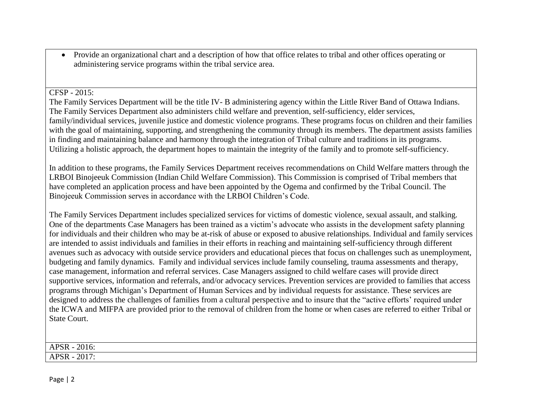Provide an organizational chart and a description of how that office relates to tribal and other offices operating or administering service programs within the tribal service area.

#### CFSP - 2015:

The Family Services Department will be the title IV- B administering agency within the Little River Band of Ottawa Indians. The Family Services Department also administers child welfare and prevention, self-sufficiency, elder services, family/individual services, juvenile justice and domestic violence programs. These programs focus on children and their families with the goal of maintaining, supporting, and strengthening the community through its members. The department assists families in finding and maintaining balance and harmony through the integration of Tribal culture and traditions in its programs. Utilizing a holistic approach, the department hopes to maintain the integrity of the family and to promote self-sufficiency.

In addition to these programs, the Family Services Department receives recommendations on Child Welfare matters through the LRBOI Binojeeuk Commission (Indian Child Welfare Commission). This Commission is comprised of Tribal members that have completed an application process and have been appointed by the Ogema and confirmed by the Tribal Council. The Binojeeuk Commission serves in accordance with the LRBOI Children's Code.

The Family Services Department includes specialized services for victims of domestic violence, sexual assault, and stalking. One of the departments Case Managers has been trained as a victim's advocate who assists in the development safety planning for individuals and their children who may be at-risk of abuse or exposed to abusive relationships. Individual and family services are intended to assist individuals and families in their efforts in reaching and maintaining self-sufficiency through different avenues such as advocacy with outside service providers and educational pieces that focus on challenges such as unemployment, budgeting and family dynamics. Family and individual services include family counseling, trauma assessments and therapy, case management, information and referral services. Case Managers assigned to child welfare cases will provide direct supportive services, information and referrals, and/or advocacy services. Prevention services are provided to families that access programs through Michigan's Department of Human Services and by individual requests for assistance. These services are designed to address the challenges of families from a cultural perspective and to insure that the "active efforts' required under the ICWA and MIFPA are provided prior to the removal of children from the home or when cases are referred to either Tribal or State Court.

| 2016:<br><b>APSR</b> |                |  |  |
|----------------------|----------------|--|--|
|                      |                |  |  |
| NК<br>AГ             | 2017<br>A DC D |  |  |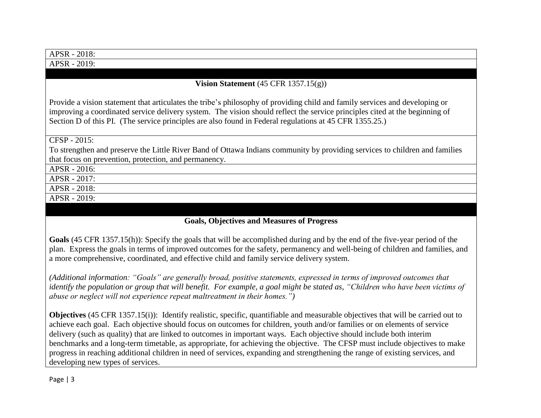| APSR - 2018:                                                                                                                |
|-----------------------------------------------------------------------------------------------------------------------------|
| APSR - 2019:                                                                                                                |
|                                                                                                                             |
| Vision Statement $(45 \text{ CFR } 1357.15(g))$                                                                             |
|                                                                                                                             |
| Provide a vision statement that articulates the tribe's philosophy of providing child and family services and developing or |
| improving a coordinated service delivery system. The vision should reflect the service principles cited at the beginning of |
| Section D of this PI. (The service principles are also found in Federal regulations at 45 CFR 1355.25.)                     |
|                                                                                                                             |
| CFSP - 2015:                                                                                                                |
| To strengthen and preserve the Little River Band of Ottawa Indians community by providing services to children and families |
| that focus on prevention, protection, and permanency.                                                                       |
| APSR - 2016:                                                                                                                |
| APSR - 2017:                                                                                                                |
| APSR - 2018:                                                                                                                |
| APSR - 2019:                                                                                                                |
|                                                                                                                             |

## **Goals, Objectives and Measures of Progress**

**Goals** (45 CFR 1357.15(h)): Specify the goals that will be accomplished during and by the end of the five-year period of the plan. Express the goals in terms of improved outcomes for the safety, permanency and well-being of children and families, and a more comprehensive, coordinated, and effective child and family service delivery system.

*(Additional information: "Goals" are generally broad, positive statements, expressed in terms of improved outcomes that identify the population or group that will benefit. For example, a goal might be stated as, "Children who have been victims of abuse or neglect will not experience repeat maltreatment in their homes.")*

**Objectives** (45 CFR 1357.15(i)): Identify realistic, specific, quantifiable and measurable objectives that will be carried out to achieve each goal. Each objective should focus on outcomes for children, youth and/or families or on elements of service delivery (such as quality) that are linked to outcomes in important ways. Each objective should include both interim benchmarks and a long-term timetable, as appropriate, for achieving the objective. The CFSP must include objectives to make progress in reaching additional children in need of services, expanding and strengthening the range of existing services, and developing new types of services.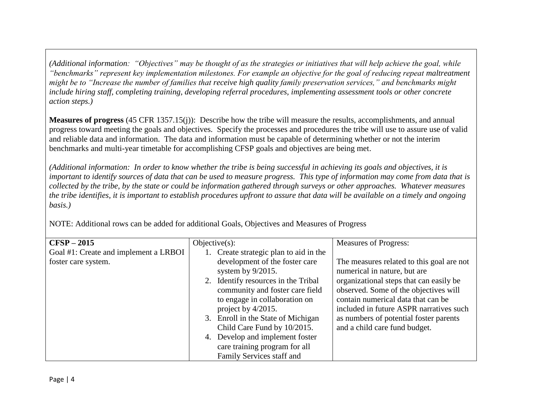*(Additional information: "Objectives" may be thought of as the strategies or initiatives that will help achieve the goal, while "benchmarks" represent key implementation milestones. For example an objective for the goal of reducing repeat maltreatment might be to "Increase the number of families that receive high quality family preservation services," and benchmarks might include hiring staff, completing training, developing referral procedures, implementing assessment tools or other concrete action steps.)* 

**Measures of progress** (45 CFR 1357.15(j)): Describe how the tribe will measure the results, accomplishments, and annual progress toward meeting the goals and objectives. Specify the processes and procedures the tribe will use to assure use of valid and reliable data and information. The data and information must be capable of determining whether or not the interim benchmarks and multi-year timetable for accomplishing CFSP goals and objectives are being met.

*(Additional information: In order to know whether the tribe is being successful in achieving its goals and objectives, it is important to identify sources of data that can be used to measure progress. This type of information may come from data that is collected by the tribe, by the state or could be information gathered through surveys or other approaches. Whatever measures the tribe identifies, it is important to establish procedures upfront to assure that data will be available on a timely and ongoing basis.)*

NOTE: Additional rows can be added for additional Goals, Objectives and Measures of Progress

| $CFSP-2015$                           | Objective(s):                       | <b>Measures of Progress:</b>              |
|---------------------------------------|-------------------------------------|-------------------------------------------|
| Goal #1: Create and implement a LRBOI | Create strategic plan to aid in the |                                           |
| foster care system.                   | development of the foster care      | The measures related to this goal are not |
|                                       | system by $9/2015$ .                | numerical in nature, but are              |
|                                       | 2. Identify resources in the Tribal | organizational steps that can easily be   |
|                                       | community and foster care field     | observed. Some of the objectives will     |
|                                       | to engage in collaboration on       | contain numerical data that can be        |
|                                       | project by 4/2015.                  | included in future ASPR narratives such   |
|                                       | 3. Enroll in the State of Michigan  | as numbers of potential foster parents    |
|                                       | Child Care Fund by 10/2015.         | and a child care fund budget.             |
|                                       | 4. Develop and implement foster     |                                           |
|                                       | care training program for all       |                                           |
|                                       | Family Services staff and           |                                           |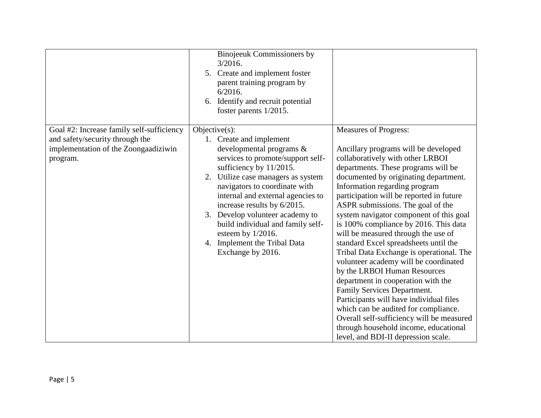|                                                                                                                                  | Binojeeuk Commissioners by<br>3/2016.<br>5. Create and implement foster<br>parent training program by<br>$6/2016$ .<br>6. Identify and recruit potential<br>foster parents 1/2015.                                                                                                                                                                                                                                                       |                                                                                                                                                                                                                                                                                                                                                                                                                                                                                                                                                                                                                                                                                                                                                                                                                                                                                          |
|----------------------------------------------------------------------------------------------------------------------------------|------------------------------------------------------------------------------------------------------------------------------------------------------------------------------------------------------------------------------------------------------------------------------------------------------------------------------------------------------------------------------------------------------------------------------------------|------------------------------------------------------------------------------------------------------------------------------------------------------------------------------------------------------------------------------------------------------------------------------------------------------------------------------------------------------------------------------------------------------------------------------------------------------------------------------------------------------------------------------------------------------------------------------------------------------------------------------------------------------------------------------------------------------------------------------------------------------------------------------------------------------------------------------------------------------------------------------------------|
| Goal #2: Increase family self-sufficiency<br>and safety/security through the<br>implementation of the Zoongaadiziwin<br>program. | Objective $(s)$ :<br>1. Create and implement<br>developmental programs &<br>services to promote/support self-<br>sufficiency by 11/2015.<br>2. Utilize case managers as system<br>navigators to coordinate with<br>internal and external agencies to<br>increase results by 6/2015.<br>Develop volunteer academy to<br>3.<br>build individual and family self-<br>esteem by 1/2016.<br>4. Implement the Tribal Data<br>Exchange by 2016. | <b>Measures of Progress:</b><br>Ancillary programs will be developed<br>collaboratively with other LRBOI<br>departments. These programs will be<br>documented by originating department.<br>Information regarding program<br>participation will be reported in future<br>ASPR submissions. The goal of the<br>system navigator component of this goal<br>is 100% compliance by 2016. This data<br>will be measured through the use of<br>standard Excel spreadsheets until the<br>Tribal Data Exchange is operational. The<br>volunteer academy will be coordinated<br>by the LRBOI Human Resources<br>department in cooperation with the<br>Family Services Department.<br>Participants will have individual files<br>which can be audited for compliance.<br>Overall self-sufficiency will be measured<br>through household income, educational<br>level, and BDI-II depression scale. |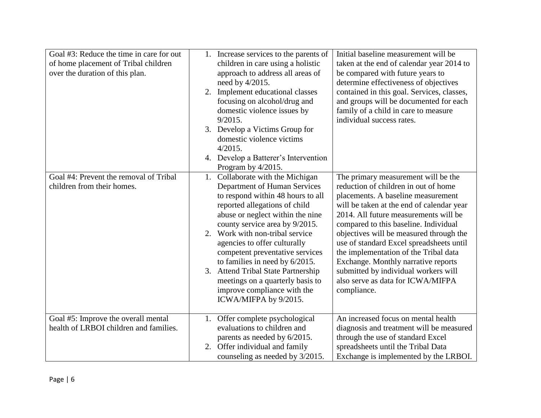| Goal #3: Reduce the time in care for out<br>of home placement of Tribal children<br>over the duration of this plan. | 1. Increase services to the parents of<br>children in care using a holistic<br>approach to address all areas of<br>need by 4/2015.<br>Implement educational classes<br>2.<br>focusing on alcohol/drug and<br>domestic violence issues by<br>9/2015.<br>3. Develop a Victims Group for<br>domestic violence victims<br>$4/2015$ .<br>4. Develop a Batterer's Intervention<br>Program by 4/2015.                                                                                         | Initial baseline measurement will be<br>taken at the end of calendar year 2014 to<br>be compared with future years to<br>determine effectiveness of objectives<br>contained in this goal. Services, classes,<br>and groups will be documented for each<br>family of a child in care to measure<br>individual success rates.                                                                                                                                                                                         |
|---------------------------------------------------------------------------------------------------------------------|----------------------------------------------------------------------------------------------------------------------------------------------------------------------------------------------------------------------------------------------------------------------------------------------------------------------------------------------------------------------------------------------------------------------------------------------------------------------------------------|---------------------------------------------------------------------------------------------------------------------------------------------------------------------------------------------------------------------------------------------------------------------------------------------------------------------------------------------------------------------------------------------------------------------------------------------------------------------------------------------------------------------|
| Goal #4: Prevent the removal of Tribal<br>children from their homes.                                                | 1. Collaborate with the Michigan<br>Department of Human Services<br>to respond within 48 hours to all<br>reported allegations of child<br>abuse or neglect within the nine<br>county service area by 9/2015.<br>2. Work with non-tribal service<br>agencies to offer culturally<br>competent preventative services<br>to families in need by 6/2015.<br>3. Attend Tribal State Partnership<br>meetings on a quarterly basis to<br>improve compliance with the<br>ICWA/MIFPA by 9/2015. | The primary measurement will be the<br>reduction of children in out of home<br>placements. A baseline measurement<br>will be taken at the end of calendar year<br>2014. All future measurements will be<br>compared to this baseline. Individual<br>objectives will be measured through the<br>use of standard Excel spreadsheets until<br>the implementation of the Tribal data<br>Exchange. Monthly narrative reports<br>submitted by individual workers will<br>also serve as data for ICWA/MIFPA<br>compliance. |
| Goal #5: Improve the overall mental<br>health of LRBOI children and families.                                       | 1. Offer complete psychological<br>evaluations to children and<br>parents as needed by 6/2015.<br>2. Offer individual and family<br>counseling as needed by 3/2015.                                                                                                                                                                                                                                                                                                                    | An increased focus on mental health<br>diagnosis and treatment will be measured<br>through the use of standard Excel<br>spreadsheets until the Tribal Data<br>Exchange is implemented by the LRBOI.                                                                                                                                                                                                                                                                                                                 |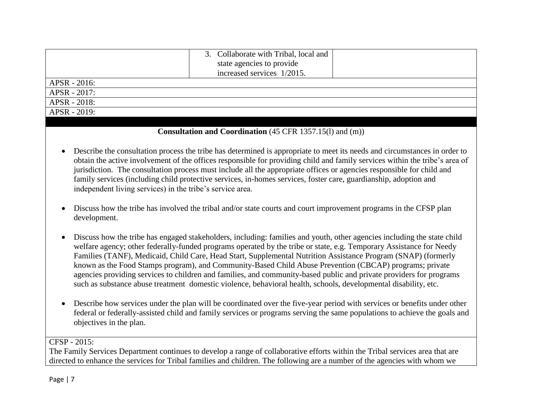|              | 3. Collaborate with Tribal, local and |  |
|--------------|---------------------------------------|--|
|              | state agencies to provide             |  |
|              | increased services 1/2015.            |  |
| APSR - 2016: |                                       |  |
| APSR - 2017: |                                       |  |
| APSR - 2018: |                                       |  |
| APSR - 2019: |                                       |  |

#### **Consultation and Coordination** (45 CFR 1357.15(l) and (m))

- Describe the consultation process the tribe has determined is appropriate to meet its needs and circumstances in order to obtain the active involvement of the offices responsible for providing child and family services within the tribe's area of jurisdiction. The consultation process must include all the appropriate offices or agencies responsible for child and family services (including child protective services, in-homes services, foster care, guardianship, adoption and independent living services) in the tribe's service area.
- Discuss how the tribe has involved the tribal and/or state courts and court improvement programs in the CFSP plan development.
- Discuss how the tribe has engaged stakeholders, including: families and youth, other agencies including the state child welfare agency; other federally-funded programs operated by the tribe or state, e.g. Temporary Assistance for Needy Families (TANF), Medicaid, Child Care, Head Start, Supplemental Nutrition Assistance Program (SNAP) (formerly known as the Food Stamps program), and Community-Based Child Abuse Prevention (CBCAP) programs; private agencies providing services to children and families, and community-based public and private providers for programs such as substance abuse treatment domestic violence, behavioral health, schools, developmental disability, etc.
- Describe how services under the plan will be coordinated over the five-year period with services or benefits under other federal or federally-assisted child and family services or programs serving the same populations to achieve the goals and objectives in the plan.

CFSP - 2015:

The Family Services Department continues to develop a range of collaborative efforts within the Tribal services area that are directed to enhance the services for Tribal families and children. The following are a number of the agencies with whom we

Page | 7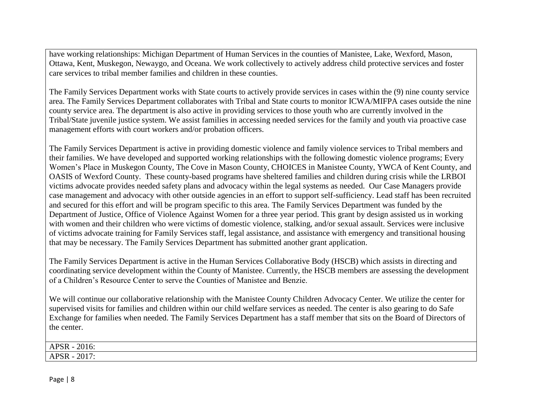have working relationships: Michigan Department of Human Services in the counties of Manistee, Lake, Wexford, Mason, Ottawa, Kent, Muskegon, Newaygo, and Oceana. We work collectively to actively address child protective services and foster care services to tribal member families and children in these counties.

The Family Services Department works with State courts to actively provide services in cases within the (9) nine county service area. The Family Services Department collaborates with Tribal and State courts to monitor ICWA/MIFPA cases outside the nine county service area. The department is also active in providing services to those youth who are currently involved in the Tribal/State juvenile justice system. We assist families in accessing needed services for the family and youth via proactive case management efforts with court workers and/or probation officers.

The Family Services Department is active in providing domestic violence and family violence services to Tribal members and their families. We have developed and supported working relationships with the following domestic violence programs; Every Women's Place in Muskegon County, The Cove in Mason County, CHOICES in Manistee County, YWCA of Kent County, and OASIS of Wexford County. These county-based programs have sheltered families and children during crisis while the LRBOI victims advocate provides needed safety plans and advocacy within the legal systems as needed. Our Case Managers provide case management and advocacy with other outside agencies in an effort to support self-sufficiency. Lead staff has been recruited and secured for this effort and will be program specific to this area. The Family Services Department was funded by the Department of Justice, Office of Violence Against Women for a three year period. This grant by design assisted us in working with women and their children who were victims of domestic violence, stalking, and/or sexual assault. Services were inclusive of victims advocate training for Family Services staff, legal assistance, and assistance with emergency and transitional housing that may be necessary. The Family Services Department has submitted another grant application.

The Family Services Department is active in the Human Services Collaborative Body (HSCB) which assists in directing and coordinating service development within the County of Manistee. Currently, the HSCB members are assessing the development of a Children's Resource Center to serve the Counties of Manistee and Benzie.

We will continue our collaborative relationship with the Manistee County Children Advocacy Center. We utilize the center for supervised visits for families and children within our child welfare services as needed. The center is also gearing to do Safe Exchange for families when needed. The Family Services Department has a staff member that sits on the Board of Directors of the center.

| Ar          |      |  |  |
|-------------|------|--|--|
| $\Delta$ DC | 2017 |  |  |
| $A\Gamma$   |      |  |  |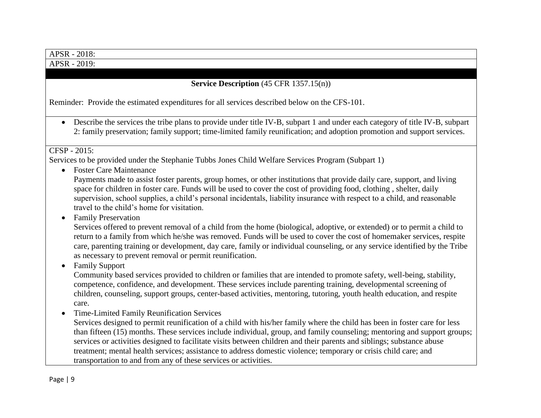| APSR - 2018:                                                                                                                                                                                                                                                                                                                                                                                                                                                                                                                                                                                                              |
|---------------------------------------------------------------------------------------------------------------------------------------------------------------------------------------------------------------------------------------------------------------------------------------------------------------------------------------------------------------------------------------------------------------------------------------------------------------------------------------------------------------------------------------------------------------------------------------------------------------------------|
| APSR - 2019:                                                                                                                                                                                                                                                                                                                                                                                                                                                                                                                                                                                                              |
|                                                                                                                                                                                                                                                                                                                                                                                                                                                                                                                                                                                                                           |
| <b>Service Description</b> $(45 \text{ CFR } 1357.15(n))$                                                                                                                                                                                                                                                                                                                                                                                                                                                                                                                                                                 |
| Reminder: Provide the estimated expenditures for all services described below on the CFS-101.                                                                                                                                                                                                                                                                                                                                                                                                                                                                                                                             |
| Describe the services the tribe plans to provide under title IV-B, subpart 1 and under each category of title IV-B, subpart<br>$\bullet$<br>2: family preservation; family support; time-limited family reunification; and adoption promotion and support services.                                                                                                                                                                                                                                                                                                                                                       |
| CFSP - 2015:                                                                                                                                                                                                                                                                                                                                                                                                                                                                                                                                                                                                              |
| Services to be provided under the Stephanie Tubbs Jones Child Welfare Services Program (Subpart 1)<br><b>Foster Care Maintenance</b><br>$\bullet$                                                                                                                                                                                                                                                                                                                                                                                                                                                                         |
| Payments made to assist foster parents, group homes, or other institutions that provide daily care, support, and living<br>space for children in foster care. Funds will be used to cover the cost of providing food, clothing, shelter, daily<br>supervision, school supplies, a child's personal incidentals, liability insurance with respect to a child, and reasonable<br>travel to the child's home for visitation.                                                                                                                                                                                                 |
| <b>Family Preservation</b><br>Services offered to prevent removal of a child from the home (biological, adoptive, or extended) or to permit a child to<br>return to a family from which he/she was removed. Funds will be used to cover the cost of homemaker services, respite<br>care, parenting training or development, day care, family or individual counseling, or any service identified by the Tribe<br>as necessary to prevent removal or permit reunification.                                                                                                                                                 |
| <b>Family Support</b><br>Community based services provided to children or families that are intended to promote safety, well-being, stability,<br>competence, confidence, and development. These services include parenting training, developmental screening of<br>children, counseling, support groups, center-based activities, mentoring, tutoring, youth health education, and respite<br>care.                                                                                                                                                                                                                      |
| <b>Time-Limited Family Reunification Services</b><br>Services designed to permit reunification of a child with his/her family where the child has been in foster care for less<br>than fifteen (15) months. These services include individual, group, and family counseling; mentoring and support groups;<br>services or activities designed to facilitate visits between children and their parents and siblings; substance abuse<br>treatment; mental health services; assistance to address domestic violence; temporary or crisis child care; and<br>transportation to and from any of these services or activities. |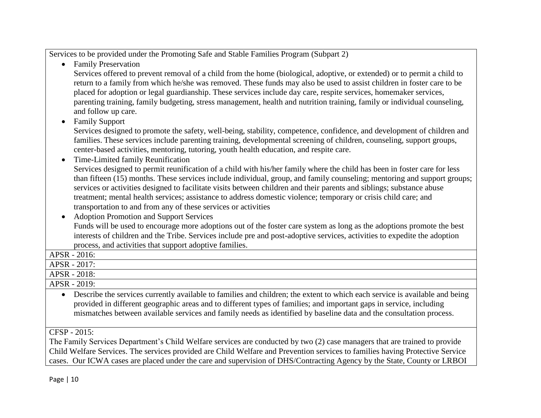Services to be provided under the Promoting Safe and Stable Families Program (Subpart 2)

• Family Preservation

 Services offered to prevent removal of a child from the home (biological, adoptive, or extended) or to permit a child to return to a family from which he/she was removed. These funds may also be used to assist children in foster care to be placed for adoption or legal guardianship. These services include day care, respite services, homemaker services, parenting training, family budgeting, stress management, health and nutrition training, family or individual counseling, and follow up care.

• Family Support

Services designed to promote the safety, well-being, stability, competence, confidence, and development of children and families. These services include parenting training, developmental screening of children, counseling, support groups, center-based activities, mentoring, tutoring, youth health education, and respite care.

Time-Limited family Reunification

Services designed to permit reunification of a child with his/her family where the child has been in foster care for less than fifteen (15) months. These services include individual, group, and family counseling; mentoring and support groups; services or activities designed to facilitate visits between children and their parents and siblings; substance abuse treatment; mental health services; assistance to address domestic violence; temporary or crisis child care; and transportation to and from any of these services or activities

 Adoption Promotion and Support Services Funds will be used to encourage more adoptions out of the foster care system as long as the adoptions promote the best interests of children and the Tribe. Services include pre and post-adoptive services, activities to expedite the adoption process, and activities that support adoptive families.

APSR - 2016: APSR - 2017: APSR - 2018:

APSR - 2019:

 Describe the services currently available to families and children; the extent to which each service is available and being provided in different geographic areas and to different types of families; and important gaps in service, including mismatches between available services and family needs as identified by baseline data and the consultation process.

## CFSP - 2015:

The Family Services Department's Child Welfare services are conducted by two (2) case managers that are trained to provide Child Welfare Services. The services provided are Child Welfare and Prevention services to families having Protective Service cases. Our ICWA cases are placed under the care and supervision of DHS/Contracting Agency by the State, County or LRBOI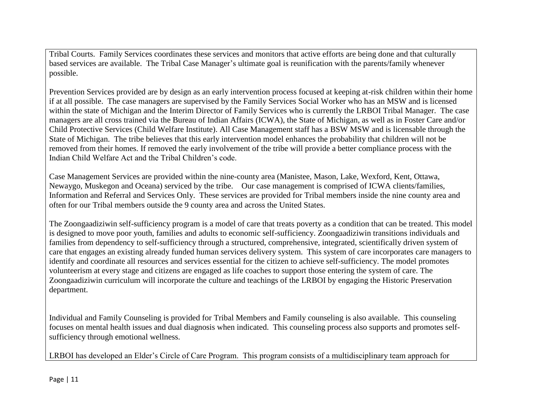Tribal Courts. Family Services coordinates these services and monitors that active efforts are being done and that culturally based services are available. The Tribal Case Manager's ultimate goal is reunification with the parents/family whenever possible.

Prevention Services provided are by design as an early intervention process focused at keeping at-risk children within their home if at all possible. The case managers are supervised by the Family Services Social Worker who has an MSW and is licensed within the state of Michigan and the Interim Director of Family Services who is currently the LRBOI Tribal Manager. The case managers are all cross trained via the Bureau of Indian Affairs (ICWA), the State of Michigan, as well as in Foster Care and/or Child Protective Services (Child Welfare Institute). All Case Management staff has a BSW MSW and is licensable through the State of Michigan. The tribe believes that this early intervention model enhances the probability that children will not be removed from their homes. If removed the early involvement of the tribe will provide a better compliance process with the Indian Child Welfare Act and the Tribal Children's code.

Case Management Services are provided within the nine-county area (Manistee, Mason, Lake, Wexford, Kent, Ottawa, Newaygo, Muskegon and Oceana) serviced by the tribe. Our case management is comprised of ICWA clients/families, Information and Referral and Services Only. These services are provided for Tribal members inside the nine county area and often for our Tribal members outside the 9 county area and across the United States.

The Zoongaadiziwin self-sufficiency program is a model of care that treats poverty as a condition that can be treated. This model is designed to move poor youth, families and adults to economic self-sufficiency. Zoongaadiziwin transitions individuals and families from dependency to self-sufficiency through a structured, comprehensive, integrated, scientifically driven system of care that engages an existing already funded human services delivery system. This system of care incorporates care managers to identify and coordinate all resources and services essential for the citizen to achieve self-sufficiency. The model promotes volunteerism at every stage and citizens are engaged as life coaches to support those entering the system of care. The Zoongaadiziwin curriculum will incorporate the culture and teachings of the LRBOI by engaging the Historic Preservation department.

Individual and Family Counseling is provided for Tribal Members and Family counseling is also available. This counseling focuses on mental health issues and dual diagnosis when indicated. This counseling process also supports and promotes selfsufficiency through emotional wellness.

LRBOI has developed an Elder's Circle of Care Program. This program consists of a multidisciplinary team approach for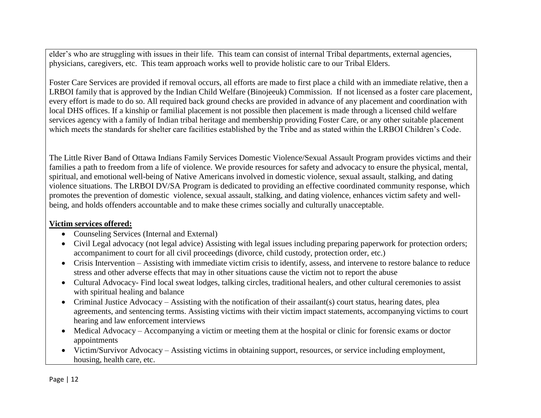elder's who are struggling with issues in their life. This team can consist of internal Tribal departments, external agencies, physicians, caregivers, etc. This team approach works well to provide holistic care to our Tribal Elders.

Foster Care Services are provided if removal occurs, all efforts are made to first place a child with an immediate relative, then a LRBOI family that is approved by the Indian Child Welfare (Binojeeuk) Commission. If not licensed as a foster care placement, every effort is made to do so. All required back ground checks are provided in advance of any placement and coordination with local DHS offices. If a kinship or familial placement is not possible then placement is made through a licensed child welfare services agency with a family of Indian tribal heritage and membership providing Foster Care, or any other suitable placement which meets the standards for shelter care facilities established by the Tribe and as stated within the LRBOI Children's Code.

The Little River Band of Ottawa Indians Family Services Domestic Violence/Sexual Assault Program provides victims and their families a path to freedom from a life of violence. We provide resources for safety and advocacy to ensure the physical, mental, spiritual, and emotional well-being of Native Americans involved in domestic violence, sexual assault, stalking, and dating violence situations. The LRBOI DV/SA Program is dedicated to providing an effective coordinated community response, which promotes the prevention of domestic violence, sexual assault, stalking, and dating violence, enhances victim safety and wellbeing, and holds offenders accountable and to make these crimes socially and culturally unacceptable.

### **Victim services offered:**

- Counseling Services (Internal and External)
- Civil Legal advocacy (not legal advice) Assisting with legal issues including preparing paperwork for protection orders; accompaniment to court for all civil proceedings (divorce, child custody, protection order, etc.)
- Crisis Intervention Assisting with immediate victim crisis to identify, assess, and intervene to restore balance to reduce stress and other adverse effects that may in other situations cause the victim not to report the abuse
- Cultural Advocacy- Find local sweat lodges, talking circles, traditional healers, and other cultural ceremonies to assist with spiritual healing and balance
- Criminal Justice Advocacy Assisting with the notification of their assailant(s) court status, hearing dates, plea agreements, and sentencing terms. Assisting victims with their victim impact statements, accompanying victims to court hearing and law enforcement interviews
- Medical Advocacy Accompanying a victim or meeting them at the hospital or clinic for forensic exams or doctor appointments
- Victim/Survivor Advocacy Assisting victims in obtaining support, resources, or service including employment, housing, health care, etc.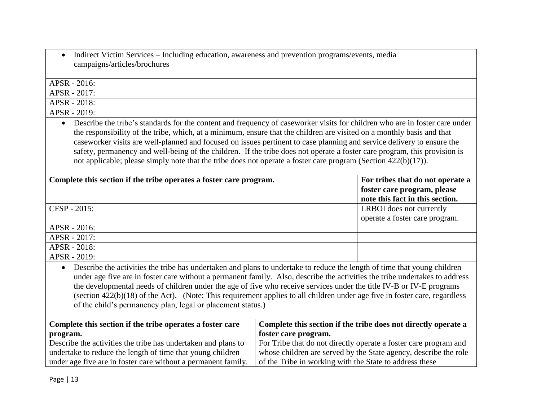• Indirect Victim Services – Including education, awareness and prevention programs/events, media campaigns/articles/brochures

APSR - 2016: APSR - 2017: APSR - 2018: APSR - 2019: Describe the tribe's standards for the content and frequency of caseworker visits for children who are in foster care under

the responsibility of the tribe, which, at a minimum, ensure that the children are visited on a monthly basis and that caseworker visits are well-planned and focused on issues pertinent to case planning and service delivery to ensure the safety, permanency and well-being of the children. If the tribe does not operate a foster care program, this provision is not applicable; please simply note that the tribe does not operate a foster care program (Section 422(b)(17)).

| Complete this section if the tribe operates a foster care program. | For tribes that do not operate a |
|--------------------------------------------------------------------|----------------------------------|
|                                                                    | foster care program, please      |
|                                                                    | note this fact in this section.  |
| CFSP - 2015:                                                       | LRBOI does not currently         |
|                                                                    | operate a foster care program.   |
| APSR - 2016:                                                       |                                  |
| APSR - 2017:                                                       |                                  |
| APSR - 2018:                                                       |                                  |
| APSR - 2019:                                                       |                                  |
|                                                                    |                                  |

 Describe the activities the tribe has undertaken and plans to undertake to reduce the length of time that young children under age five are in foster care without a permanent family. Also, describe the activities the tribe undertakes to address the developmental needs of children under the age of five who receive services under the title IV-B or IV-E programs (section 422(b)(18) of the Act). (Note: This requirement applies to all children under age five in foster care, regardless of the child's permanency plan, legal or placement status.)

| Complete this section if the tribe operates a foster care     | Complete this section if the tribe does not directly operate a   |
|---------------------------------------------------------------|------------------------------------------------------------------|
| program.                                                      | foster care program.                                             |
| Describe the activities the tribe has undertaken and plans to | For Tribe that do not directly operate a foster care program and |
| undertake to reduce the length of time that young children    | whose children are served by the State agency, describe the role |
| under age five are in foster care without a permanent family. | of the Tribe in working with the State to address these          |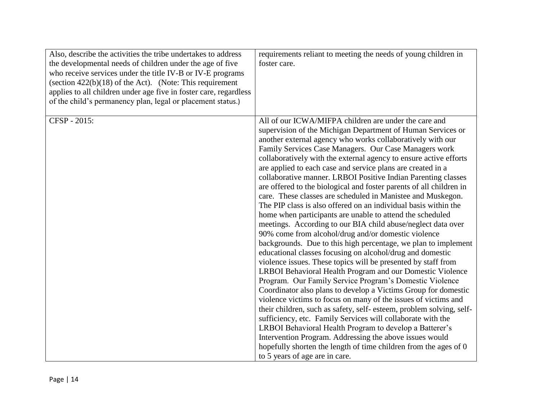| Also, describe the activities the tribe undertakes to address<br>the developmental needs of children under the age of five<br>who receive services under the title IV-B or IV-E programs<br>(section $422(b)(18)$ of the Act). (Note: This requirement<br>applies to all children under age five in foster care, regardless<br>of the child's permanency plan, legal or placement status.) | requirements reliant to meeting the needs of young children in<br>foster care.                                                                                                                                                                                                                                                                                                                                                                                                                                                                                                                                                                                                                                                                                                                                                                                                                                                                                                                                                                                                                                                                                                                                                                                                                                                                                                                                                                                                                                                                                                                                                                                              |
|--------------------------------------------------------------------------------------------------------------------------------------------------------------------------------------------------------------------------------------------------------------------------------------------------------------------------------------------------------------------------------------------|-----------------------------------------------------------------------------------------------------------------------------------------------------------------------------------------------------------------------------------------------------------------------------------------------------------------------------------------------------------------------------------------------------------------------------------------------------------------------------------------------------------------------------------------------------------------------------------------------------------------------------------------------------------------------------------------------------------------------------------------------------------------------------------------------------------------------------------------------------------------------------------------------------------------------------------------------------------------------------------------------------------------------------------------------------------------------------------------------------------------------------------------------------------------------------------------------------------------------------------------------------------------------------------------------------------------------------------------------------------------------------------------------------------------------------------------------------------------------------------------------------------------------------------------------------------------------------------------------------------------------------------------------------------------------------|
| CFSP - 2015:                                                                                                                                                                                                                                                                                                                                                                               | All of our ICWA/MIFPA children are under the care and<br>supervision of the Michigan Department of Human Services or<br>another external agency who works collaboratively with our<br>Family Services Case Managers. Our Case Managers work<br>collaboratively with the external agency to ensure active efforts<br>are applied to each case and service plans are created in a<br>collaborative manner. LRBOI Positive Indian Parenting classes<br>are offered to the biological and foster parents of all children in<br>care. These classes are scheduled in Manistee and Muskegon.<br>The PIP class is also offered on an individual basis within the<br>home when participants are unable to attend the scheduled<br>meetings. According to our BIA child abuse/neglect data over<br>90% come from alcohol/drug and/or domestic violence<br>backgrounds. Due to this high percentage, we plan to implement<br>educational classes focusing on alcohol/drug and domestic<br>violence issues. These topics will be presented by staff from<br>LRBOI Behavioral Health Program and our Domestic Violence<br>Program. Our Family Service Program's Domestic Violence<br>Coordinator also plans to develop a Victims Group for domestic<br>violence victims to focus on many of the issues of victims and<br>their children, such as safety, self-esteem, problem solving, self-<br>sufficiency, etc. Family Services will collaborate with the<br>LRBOI Behavioral Health Program to develop a Batterer's<br>Intervention Program. Addressing the above issues would<br>hopefully shorten the length of time children from the ages of 0<br>to 5 years of age are in care. |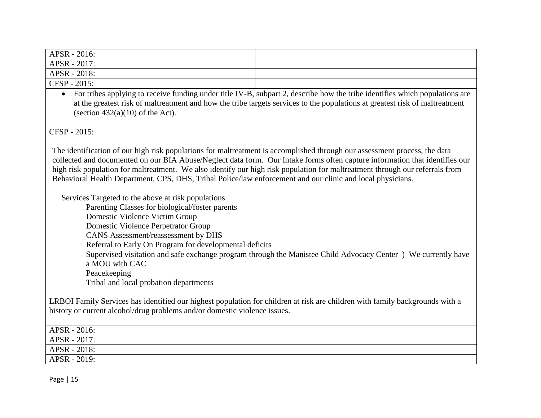| $APSR - 2016$ : |  |
|-----------------|--|
| $ABSR - 2017$ : |  |
| $ABSR - 2018$ : |  |
| $CFSP - 2015$ : |  |

• For tribes applying to receive funding under title IV-B, subpart 2, describe how the tribe identifies which populations are at the greatest risk of maltreatment and how the tribe targets services to the populations at greatest risk of maltreatment (section  $432(a)(10)$  of the Act).

CFSP - 2015:

The identification of our high risk populations for maltreatment is accomplished through our assessment process, the data collected and documented on our BIA Abuse/Neglect data form. Our Intake forms often capture information that identifies our high risk population for maltreatment. We also identify our high risk population for maltreatment through our referrals from Behavioral Health Department, CPS, DHS, Tribal Police/law enforcement and our clinic and local physicians.

Services Targeted to the above at risk populations

Parenting Classes for biological/foster parents Domestic Violence Victim Group Domestic Violence Perpetrator Group CANS Assessment/reassessment by DHS Referral to Early On Program for developmental deficits Supervised visitation and safe exchange program through the Manistee Child Advocacy Center ) We currently have a MOU with CAC Peacekeeping Tribal and local probation departments

LRBOI Family Services has identified our highest population for children at risk are children with family backgrounds with a history or current alcohol/drug problems and/or domestic violence issues.

| $ABSR - 2016$ : |  |
|-----------------|--|
| $ABSR - 2017$ : |  |
| $ABSR - 2018$ : |  |
| $ABSR - 2019$ : |  |

Page | 15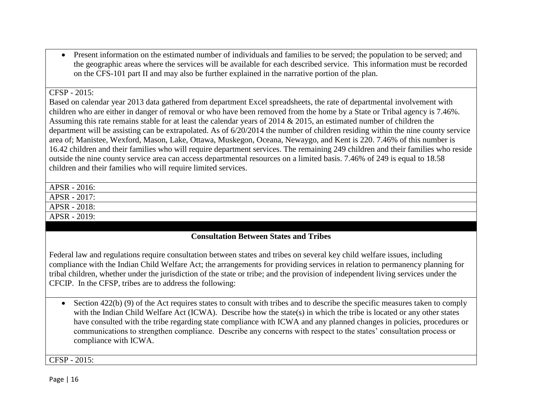• Present information on the estimated number of individuals and families to be served; the population to be served; and the geographic areas where the services will be available for each described service. This information must be recorded on the CFS-101 part II and may also be further explained in the narrative portion of the plan.

#### $CFSP - 2015$

Based on calendar year 2013 data gathered from department Excel spreadsheets, the rate of departmental involvement with children who are either in danger of removal or who have been removed from the home by a State or Tribal agency is 7.46%. Assuming this rate remains stable for at least the calendar years of 2014 & 2015, an estimated number of children the department will be assisting can be extrapolated. As of 6/20/2014 the number of children residing within the nine county service area of; Manistee, Wexford, Mason, Lake, Ottawa, Muskegon, Oceana, Newaygo, and Kent is 220. 7.46% of this number is 16.42 children and their families who will require department services. The remaining 249 children and their families who reside outside the nine county service area can access departmental resources on a limited basis. 7.46% of 249 is equal to 18.58 children and their families who will require limited services.

APSR - 2016: APSR - 2017: APSR - 2018: APSR - 2019:

### **Consultation Between States and Tribes**

Federal law and regulations require consultation between states and tribes on several key child welfare issues, including compliance with the Indian Child Welfare Act; the arrangements for providing services in relation to permanency planning for tribal children, whether under the jurisdiction of the state or tribe; and the provision of independent living services under the CFCIP. In the CFSP, tribes are to address the following:

• Section 422(b) (9) of the Act requires states to consult with tribes and to describe the specific measures taken to comply with the Indian Child Welfare Act (ICWA). Describe how the state(s) in which the tribe is located or any other states have consulted with the tribe regarding state compliance with ICWA and any planned changes in policies, procedures or communications to strengthen compliance. Describe any concerns with respect to the states' consultation process or compliance with ICWA.

CFSP - 2015: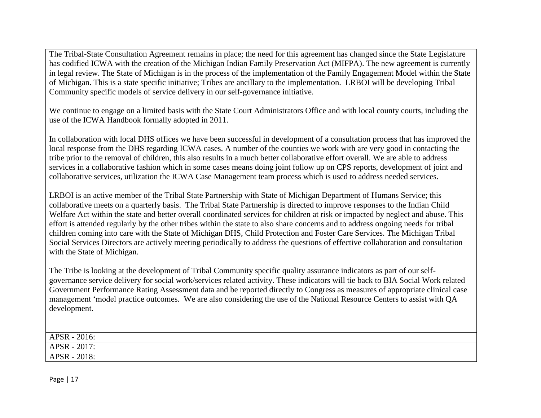The Tribal-State Consultation Agreement remains in place; the need for this agreement has changed since the State Legislature has codified ICWA with the creation of the Michigan Indian Family Preservation Act (MIFPA). The new agreement is currently in legal review. The State of Michigan is in the process of the implementation of the Family Engagement Model within the State of Michigan. This is a state specific initiative; Tribes are ancillary to the implementation. LRBOI will be developing Tribal Community specific models of service delivery in our self-governance initiative.

We continue to engage on a limited basis with the State Court Administrators Office and with local county courts, including the use of the ICWA Handbook formally adopted in 2011.

In collaboration with local DHS offices we have been successful in development of a consultation process that has improved the local response from the DHS regarding ICWA cases. A number of the counties we work with are very good in contacting the tribe prior to the removal of children, this also results in a much better collaborative effort overall. We are able to address services in a collaborative fashion which in some cases means doing joint follow up on CPS reports, development of joint and collaborative services, utilization the ICWA Case Management team process which is used to address needed services.

LRBOI is an active member of the Tribal State Partnership with State of Michigan Department of Humans Service; this collaborative meets on a quarterly basis. The Tribal State Partnership is directed to improve responses to the Indian Child Welfare Act within the state and better overall coordinated services for children at risk or impacted by neglect and abuse. This effort is attended regularly by the other tribes within the state to also share concerns and to address ongoing needs for tribal children coming into care with the State of Michigan DHS, Child Protection and Foster Care Services. The Michigan Tribal Social Services Directors are actively meeting periodically to address the questions of effective collaboration and consultation with the State of Michigan.

The Tribe is looking at the development of Tribal Community specific quality assurance indicators as part of our selfgovernance service delivery for social work/services related activity. These indicators will tie back to BIA Social Work related Government Performance Rating Assessment data and be reported directly to Congress as measures of appropriate clinical case management 'model practice outcomes. We are also considering the use of the National Resource Centers to assist with QA development.

| APSR - 2016: |  |
|--------------|--|
| APSR - 2017: |  |
| APSR - 2018: |  |

Page | 17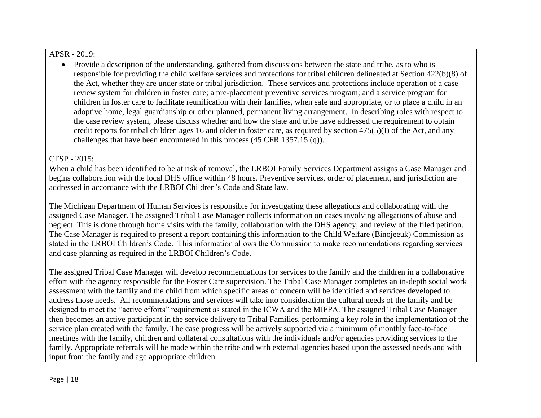#### APSR - 2019:

• Provide a description of the understanding, gathered from discussions between the state and tribe, as to who is responsible for providing the child welfare services and protections for tribal children delineated at Section 422(b)(8) of the Act, whether they are under state or tribal jurisdiction. These services and protections include operation of a case review system for children in foster care; a pre-placement preventive services program; and a service program for children in foster care to facilitate reunification with their families, when safe and appropriate, or to place a child in an adoptive home, legal guardianship or other planned, permanent living arrangement. In describing roles with respect to the case review system, please discuss whether and how the state and tribe have addressed the requirement to obtain credit reports for tribal children ages 16 and older in foster care, as required by section 475(5)(I) of the Act, and any challenges that have been encountered in this process (45 CFR 1357.15 (q)).

#### CFSP - 2015:

When a child has been identified to be at risk of removal, the LRBOI Family Services Department assigns a Case Manager and begins collaboration with the local DHS office within 48 hours. Preventive services, order of placement, and jurisdiction are addressed in accordance with the LRBOI Children's Code and State law.

The Michigan Department of Human Services is responsible for investigating these allegations and collaborating with the assigned Case Manager. The assigned Tribal Case Manager collects information on cases involving allegations of abuse and neglect. This is done through home visits with the family, collaboration with the DHS agency, and review of the filed petition. The Case Manager is required to present a report containing this information to the Child Welfare (Binojeeuk) Commission as stated in the LRBOI Children's Code. This information allows the Commission to make recommendations regarding services and case planning as required in the LRBOI Children's Code.

The assigned Tribal Case Manager will develop recommendations for services to the family and the children in a collaborative effort with the agency responsible for the Foster Care supervision. The Tribal Case Manager completes an in-depth social work assessment with the family and the child from which specific areas of concern will be identified and services developed to address those needs. All recommendations and services will take into consideration the cultural needs of the family and be designed to meet the "active efforts" requirement as stated in the ICWA and the MIFPA. The assigned Tribal Case Manager then becomes an active participant in the service delivery to Tribal Families, performing a key role in the implementation of the service plan created with the family. The case progress will be actively supported via a minimum of monthly face-to-face meetings with the family, children and collateral consultations with the individuals and/or agencies providing services to the family. Appropriate referrals will be made within the tribe and with external agencies based upon the assessed needs and with input from the family and age appropriate children.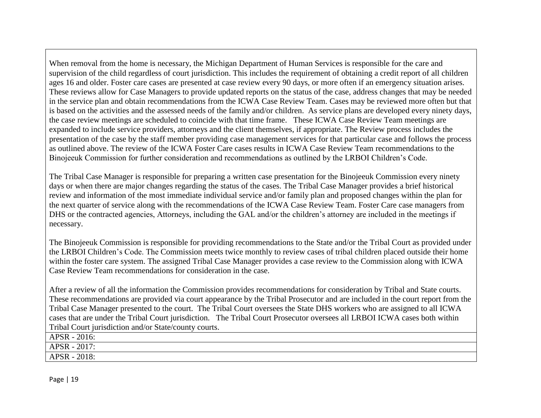When removal from the home is necessary, the Michigan Department of Human Services is responsible for the care and supervision of the child regardless of court jurisdiction. This includes the requirement of obtaining a credit report of all children ages 16 and older. Foster care cases are presented at case review every 90 days, or more often if an emergency situation arises. These reviews allow for Case Managers to provide updated reports on the status of the case, address changes that may be needed in the service plan and obtain recommendations from the ICWA Case Review Team. Cases may be reviewed more often but that is based on the activities and the assessed needs of the family and/or children. As service plans are developed every ninety days, the case review meetings are scheduled to coincide with that time frame. These ICWA Case Review Team meetings are expanded to include service providers, attorneys and the client themselves, if appropriate. The Review process includes the presentation of the case by the staff member providing case management services for that particular case and follows the process as outlined above. The review of the ICWA Foster Care cases results in ICWA Case Review Team recommendations to the Binojeeuk Commission for further consideration and recommendations as outlined by the LRBOI Children's Code.

The Tribal Case Manager is responsible for preparing a written case presentation for the Binojeeuk Commission every ninety days or when there are major changes regarding the status of the cases. The Tribal Case Manager provides a brief historical review and information of the most immediate individual service and/or family plan and proposed changes within the plan for the next quarter of service along with the recommendations of the ICWA Case Review Team. Foster Care case managers from DHS or the contracted agencies, Attorneys, including the GAL and/or the children's attorney are included in the meetings if necessary.

The Binojeeuk Commission is responsible for providing recommendations to the State and/or the Tribal Court as provided under the LRBOI Children's Code. The Commission meets twice monthly to review cases of tribal children placed outside their home within the foster care system. The assigned Tribal Case Manager provides a case review to the Commission along with ICWA Case Review Team recommendations for consideration in the case.

After a review of all the information the Commission provides recommendations for consideration by Tribal and State courts. These recommendations are provided via court appearance by the Tribal Prosecutor and are included in the court report from the Tribal Case Manager presented to the court. The Tribal Court oversees the State DHS workers who are assigned to all ICWA cases that are under the Tribal Court jurisdiction. The Tribal Court Prosecutor oversees all LRBOI ICWA cases both within Tribal Court jurisdiction and/or State/county courts.

APSR - 2016:

APSR - 2017:

APSR - 2018: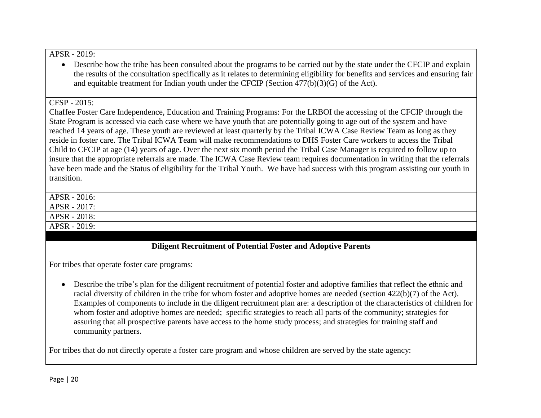#### APSR - 2019:

• Describe how the tribe has been consulted about the programs to be carried out by the state under the CFCIP and explain the results of the consultation specifically as it relates to determining eligibility for benefits and services and ensuring fair and equitable treatment for Indian youth under the CFCIP (Section 477(b)(3)(G) of the Act).

#### CFSP - 2015:

Chaffee Foster Care Independence, Education and Training Programs: For the LRBOI the accessing of the CFCIP through the State Program is accessed via each case where we have youth that are potentially going to age out of the system and have reached 14 years of age. These youth are reviewed at least quarterly by the Tribal ICWA Case Review Team as long as they reside in foster care. The Tribal ICWA Team will make recommendations to DHS Foster Care workers to access the Tribal Child to CFCIP at age (14) years of age. Over the next six month period the Tribal Case Manager is required to follow up to insure that the appropriate referrals are made. The ICWA Case Review team requires documentation in writing that the referrals have been made and the Status of eligibility for the Tribal Youth. We have had success with this program assisting our youth in transition.

| APSR - 2016: |  |
|--------------|--|
| APSR - 2017: |  |
| APSR - 2018: |  |
| APSR - 2019: |  |
|              |  |

### **Diligent Recruitment of Potential Foster and Adoptive Parents**

For tribes that operate foster care programs:

 Describe the tribe's plan for the diligent recruitment of potential foster and adoptive families that reflect the ethnic and racial diversity of children in the tribe for whom foster and adoptive homes are needed (section 422(b)(7) of the Act). Examples of components to include in the diligent recruitment plan are: a description of the characteristics of children for whom foster and adoptive homes are needed; specific strategies to reach all parts of the community; strategies for assuring that all prospective parents have access to the home study process; and strategies for training staff and community partners.

For tribes that do not directly operate a foster care program and whose children are served by the state agency: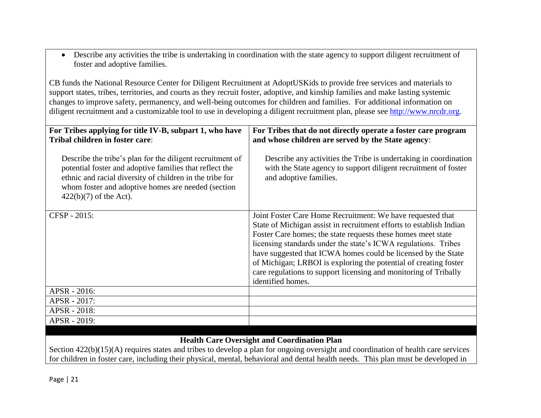Describe any activities the tribe is undertaking in coordination with the state agency to support diligent recruitment of foster and adoptive families.

CB funds the National Resource Center for Diligent Recruitment at AdoptUSKids to provide free services and materials to support states, tribes, territories, and courts as they recruit foster, adoptive, and kinship families and make lasting systemic changes to improve safety, permanency, and well-being outcomes for children and families. For additional information on diligent recruitment and a customizable tool to use in developing a diligent recruitment plan, please see [http://www.nrcdr.org.](http://www.nrcdr.org/)

| For Tribes applying for title IV-B, subpart 1, who have<br>Tribal children in foster care:                                                                                                                                                                         | For Tribes that do not directly operate a foster care program<br>and whose children are served by the State agency:                                                                                                                                                                                                                                                                                                                                                                               |
|--------------------------------------------------------------------------------------------------------------------------------------------------------------------------------------------------------------------------------------------------------------------|---------------------------------------------------------------------------------------------------------------------------------------------------------------------------------------------------------------------------------------------------------------------------------------------------------------------------------------------------------------------------------------------------------------------------------------------------------------------------------------------------|
| Describe the tribe's plan for the diligent recruitment of<br>potential foster and adoptive families that reflect the<br>ethnic and racial diversity of children in the tribe for<br>whom foster and adoptive homes are needed (section<br>$422(b)(7)$ of the Act). | Describe any activities the Tribe is undertaking in coordination<br>with the State agency to support diligent recruitment of foster<br>and adoptive families.                                                                                                                                                                                                                                                                                                                                     |
| CFSP - 2015:                                                                                                                                                                                                                                                       | Joint Foster Care Home Recruitment: We have requested that<br>State of Michigan assist in recruitment efforts to establish Indian<br>Foster Care homes; the state requests these homes meet state<br>licensing standards under the state's ICWA regulations. Tribes<br>have suggested that ICWA homes could be licensed by the State<br>of Michigan; LRBOI is exploring the potential of creating foster<br>care regulations to support licensing and monitoring of Tribally<br>identified homes. |
| APSR - 2016:                                                                                                                                                                                                                                                       |                                                                                                                                                                                                                                                                                                                                                                                                                                                                                                   |
| APSR - 2017:                                                                                                                                                                                                                                                       |                                                                                                                                                                                                                                                                                                                                                                                                                                                                                                   |
| APSR - 2018:                                                                                                                                                                                                                                                       |                                                                                                                                                                                                                                                                                                                                                                                                                                                                                                   |
| APSR - 2019:                                                                                                                                                                                                                                                       |                                                                                                                                                                                                                                                                                                                                                                                                                                                                                                   |

# **Health Care Oversight and Coordination Plan**

Section 422(b)(15)(A) requires states and tribes to develop a plan for ongoing oversight and coordination of health care services for children in foster care, including their physical, mental, behavioral and dental health needs. This plan must be developed in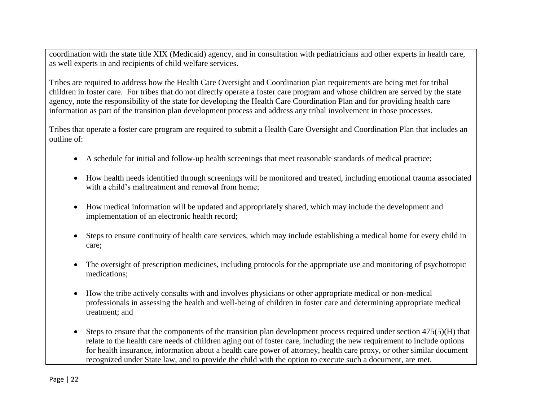coordination with the state title XIX (Medicaid) agency, and in consultation with pediatricians and other experts in health care, as well experts in and recipients of child welfare services.

Tribes are required to address how the Health Care Oversight and Coordination plan requirements are being met for tribal children in foster care. For tribes that do not directly operate a foster care program and whose children are served by the state agency, note the responsibility of the state for developing the Health Care Coordination Plan and for providing health care information as part of the transition plan development process and address any tribal involvement in those processes.

Tribes that operate a foster care program are required to submit a Health Care Oversight and Coordination Plan that includes an outline of:

- A schedule for initial and follow-up health screenings that meet reasonable standards of medical practice;
- How health needs identified through screenings will be monitored and treated, including emotional trauma associated with a child's maltreatment and removal from home:
- How medical information will be updated and appropriately shared, which may include the development and implementation of an electronic health record;
- Steps to ensure continuity of health care services, which may include establishing a medical home for every child in care;
- The oversight of prescription medicines, including protocols for the appropriate use and monitoring of psychotropic medications;
- How the tribe actively consults with and involves physicians or other appropriate medical or non-medical professionals in assessing the health and well-being of children in foster care and determining appropriate medical treatment; and
- $\bullet$  Steps to ensure that the components of the transition plan development process required under section 475(5)(H) that relate to the health care needs of children aging out of foster care, including the new requirement to include options for health insurance, information about a health care power of attorney, health care proxy, or other similar document recognized under State law, and to provide the child with the option to execute such a document, are met.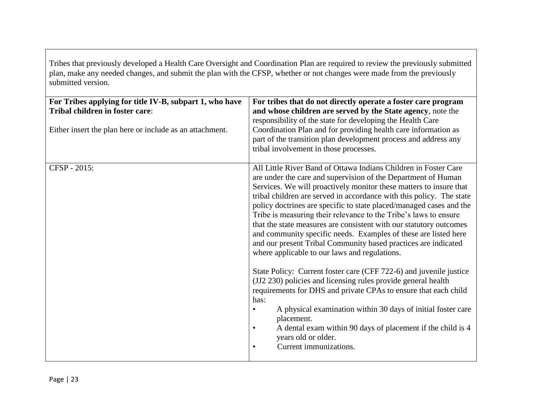Tribes that previously developed a Health Care Oversight and Coordination Plan are required to review the previously submitted plan, make any needed changes, and submit the plan with the CFSP, whether or not changes were made from the previously submitted version.

| For Tribes applying for title IV-B, subpart 1, who have<br>Tribal children in foster care:<br>Either insert the plan here or include as an attachment. | For tribes that do not directly operate a foster care program<br>and whose children are served by the State agency, note the<br>responsibility of the state for developing the Health Care<br>Coordination Plan and for providing health care information as<br>part of the transition plan development process and address any<br>tribal involvement in those processes.                                                                                                                                                                                                                                                                                                                                                                                                                                                                                                                                                                                                                                                                                                                             |
|--------------------------------------------------------------------------------------------------------------------------------------------------------|-------------------------------------------------------------------------------------------------------------------------------------------------------------------------------------------------------------------------------------------------------------------------------------------------------------------------------------------------------------------------------------------------------------------------------------------------------------------------------------------------------------------------------------------------------------------------------------------------------------------------------------------------------------------------------------------------------------------------------------------------------------------------------------------------------------------------------------------------------------------------------------------------------------------------------------------------------------------------------------------------------------------------------------------------------------------------------------------------------|
| CFSP - 2015:                                                                                                                                           | All Little River Band of Ottawa Indians Children in Foster Care<br>are under the care and supervision of the Department of Human<br>Services. We will proactively monitor these matters to insure that<br>tribal children are served in accordance with this policy. The state<br>policy doctrines are specific to state placed/managed cases and the<br>Tribe is measuring their relevance to the Tribe's laws to ensure<br>that the state measures are consistent with our statutory outcomes<br>and community specific needs. Examples of these are listed here<br>and our present Tribal Community based practices are indicated<br>where applicable to our laws and regulations.<br>State Policy: Current foster care (CFF 722-6) and juvenile justice<br>(JJ2 230) policies and licensing rules provide general health<br>requirements for DHS and private CPAs to ensure that each child<br>has:<br>A physical examination within 30 days of initial foster care<br>placement.<br>A dental exam within 90 days of placement if the child is 4<br>years old or older.<br>Current immunizations. |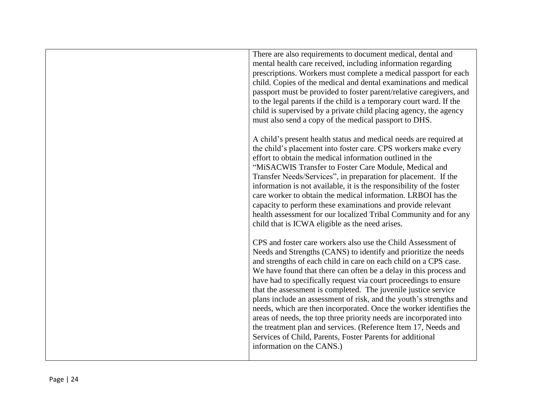| There are also requirements to document medical, dental and<br>mental health care received, including information regarding<br>prescriptions. Workers must complete a medical passport for each<br>child. Copies of the medical and dental examinations and medical<br>passport must be provided to foster parent/relative caregivers, and<br>to the legal parents if the child is a temporary court ward. If the<br>child is supervised by a private child placing agency, the agency<br>must also send a copy of the medical passport to DHS.                                                                                                                                                                                                                                              |
|----------------------------------------------------------------------------------------------------------------------------------------------------------------------------------------------------------------------------------------------------------------------------------------------------------------------------------------------------------------------------------------------------------------------------------------------------------------------------------------------------------------------------------------------------------------------------------------------------------------------------------------------------------------------------------------------------------------------------------------------------------------------------------------------|
| A child's present health status and medical needs are required at<br>the child's placement into foster care. CPS workers make every<br>effort to obtain the medical information outlined in the<br>"MiSACWIS Transfer to Foster Care Module, Medical and<br>Transfer Needs/Services", in preparation for placement. If the<br>information is not available, it is the responsibility of the foster<br>care worker to obtain the medical information. LRBOI has the<br>capacity to perform these examinations and provide relevant<br>health assessment for our localized Tribal Community and for any<br>child that is ICWA eligible as the need arises.                                                                                                                                     |
| CPS and foster care workers also use the Child Assessment of<br>Needs and Strengths (CANS) to identify and prioritize the needs<br>and strengths of each child in care on each child on a CPS case.<br>We have found that there can often be a delay in this process and<br>have had to specifically request via court proceedings to ensure<br>that the assessment is completed. The juvenile justice service<br>plans include an assessment of risk, and the youth's strengths and<br>needs, which are then incorporated. Once the worker identifies the<br>areas of needs, the top three priority needs are incorporated into<br>the treatment plan and services. (Reference Item 17, Needs and<br>Services of Child, Parents, Foster Parents for additional<br>information on the CANS.) |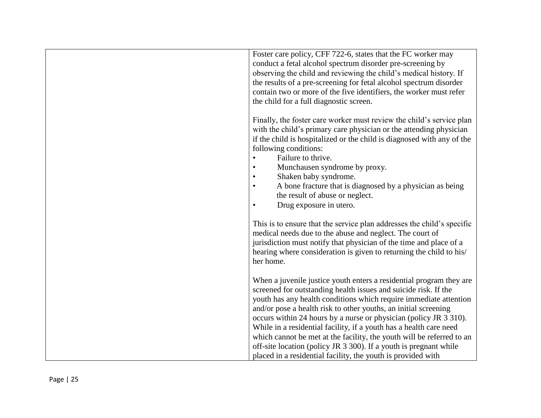| Foster care policy, CFF 722-6, states that the FC worker may<br>conduct a fetal alcohol spectrum disorder pre-screening by<br>observing the child and reviewing the child's medical history. If<br>the results of a pre-screening for fetal alcohol spectrum disorder<br>contain two or more of the five identifiers, the worker must refer<br>the child for a full diagnostic screen.                                                                                                                                                                                                                                                  |
|-----------------------------------------------------------------------------------------------------------------------------------------------------------------------------------------------------------------------------------------------------------------------------------------------------------------------------------------------------------------------------------------------------------------------------------------------------------------------------------------------------------------------------------------------------------------------------------------------------------------------------------------|
| Finally, the foster care worker must review the child's service plan<br>with the child's primary care physician or the attending physician<br>if the child is hospitalized or the child is diagnosed with any of the<br>following conditions:<br>Failure to thrive.<br>$\bullet$<br>Munchausen syndrome by proxy.<br>Shaken baby syndrome.<br>A bone fracture that is diagnosed by a physician as being<br>the result of abuse or neglect.<br>Drug exposure in utero.<br>$\bullet$                                                                                                                                                      |
| This is to ensure that the service plan addresses the child's specific<br>medical needs due to the abuse and neglect. The court of<br>jurisdiction must notify that physician of the time and place of a<br>hearing where consideration is given to returning the child to his/<br>her home.                                                                                                                                                                                                                                                                                                                                            |
| When a juvenile justice youth enters a residential program they are<br>screened for outstanding health issues and suicide risk. If the<br>youth has any health conditions which require immediate attention<br>and/or pose a health risk to other youths, an initial screening<br>occurs within 24 hours by a nurse or physician (policy JR 3 310).<br>While in a residential facility, if a youth has a health care need<br>which cannot be met at the facility, the youth will be referred to an<br>off-site location (policy JR 3 300). If a youth is pregnant while<br>placed in a residential facility, the youth is provided with |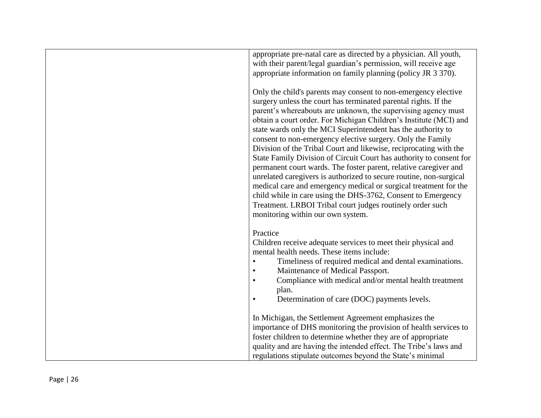| appropriate pre-natal care as directed by a physician. All youth,   |
|---------------------------------------------------------------------|
| with their parent/legal guardian's permission, will receive age     |
| appropriate information on family planning (policy JR 3 370).       |
|                                                                     |
| Only the child's parents may consent to non-emergency elective      |
| surgery unless the court has terminated parental rights. If the     |
| parent's whereabouts are unknown, the supervising agency must       |
| obtain a court order. For Michigan Children's Institute (MCI) and   |
|                                                                     |
| state wards only the MCI Superintendent has the authority to        |
| consent to non-emergency elective surgery. Only the Family          |
| Division of the Tribal Court and likewise, reciprocating with the   |
| State Family Division of Circuit Court has authority to consent for |
| permanent court wards. The foster parent, relative caregiver and    |
| unrelated caregivers is authorized to secure routine, non-surgical  |
| medical care and emergency medical or surgical treatment for the    |
| child while in care using the DHS-3762, Consent to Emergency        |
| Treatment. LRBOI Tribal court judges routinely order such           |
| monitoring within our own system.                                   |
|                                                                     |
| Practice                                                            |
| Children receive adequate services to meet their physical and       |
| mental health needs. These items include:                           |
| Timeliness of required medical and dental examinations.             |
| Maintenance of Medical Passport.                                    |
| Compliance with medical and/or mental health treatment              |
| plan.                                                               |
| Determination of care (DOC) payments levels.<br>$\bullet$           |
|                                                                     |
|                                                                     |
| In Michigan, the Settlement Agreement emphasizes the                |
| importance of DHS monitoring the provision of health services to    |
| foster children to determine whether they are of appropriate        |
| quality and are having the intended effect. The Tribe's laws and    |
| regulations stipulate outcomes beyond the State's minimal           |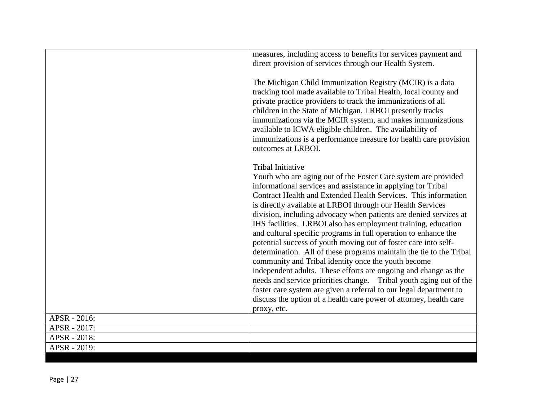|              | measures, including access to benefits for services payment and                                                                                                                                                                                                                                                                                                                                                                                                                                                                                                                                                                                                                                                                                                                                                                                                                                                                                                                                          |
|--------------|----------------------------------------------------------------------------------------------------------------------------------------------------------------------------------------------------------------------------------------------------------------------------------------------------------------------------------------------------------------------------------------------------------------------------------------------------------------------------------------------------------------------------------------------------------------------------------------------------------------------------------------------------------------------------------------------------------------------------------------------------------------------------------------------------------------------------------------------------------------------------------------------------------------------------------------------------------------------------------------------------------|
|              | direct provision of services through our Health System.                                                                                                                                                                                                                                                                                                                                                                                                                                                                                                                                                                                                                                                                                                                                                                                                                                                                                                                                                  |
|              | The Michigan Child Immunization Registry (MCIR) is a data<br>tracking tool made available to Tribal Health, local county and<br>private practice providers to track the immunizations of all<br>children in the State of Michigan. LRBOI presently tracks<br>immunizations via the MCIR system, and makes immunizations<br>available to ICWA eligible children. The availability of<br>immunizations is a performance measure for health care provision<br>outcomes at LRBOI.                                                                                                                                                                                                                                                                                                                                                                                                                                                                                                                            |
|              | <b>Tribal Initiative</b><br>Youth who are aging out of the Foster Care system are provided<br>informational services and assistance in applying for Tribal<br>Contract Health and Extended Health Services. This information<br>is directly available at LRBOI through our Health Services<br>division, including advocacy when patients are denied services at<br>IHS facilities. LRBOI also has employment training, education<br>and cultural specific programs in full operation to enhance the<br>potential success of youth moving out of foster care into self-<br>determination. All of these programs maintain the tie to the Tribal<br>community and Tribal identity once the youth become<br>independent adults. These efforts are ongoing and change as the<br>needs and service priorities change. Tribal youth aging out of the<br>foster care system are given a referral to our legal department to<br>discuss the option of a health care power of attorney, health care<br>proxy, etc. |
| APSR - 2016: |                                                                                                                                                                                                                                                                                                                                                                                                                                                                                                                                                                                                                                                                                                                                                                                                                                                                                                                                                                                                          |
| APSR - 2017: |                                                                                                                                                                                                                                                                                                                                                                                                                                                                                                                                                                                                                                                                                                                                                                                                                                                                                                                                                                                                          |
| APSR - 2018: |                                                                                                                                                                                                                                                                                                                                                                                                                                                                                                                                                                                                                                                                                                                                                                                                                                                                                                                                                                                                          |
| APSR - 2019: |                                                                                                                                                                                                                                                                                                                                                                                                                                                                                                                                                                                                                                                                                                                                                                                                                                                                                                                                                                                                          |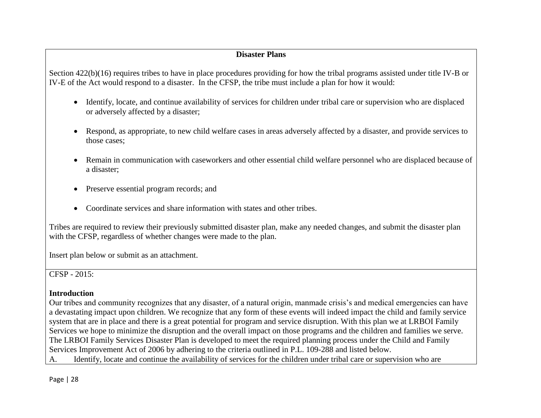### **Disaster Plans**

Section 422(b)(16) requires tribes to have in place procedures providing for how the tribal programs assisted under title IV-B or IV-E of the Act would respond to a disaster. In the CFSP, the tribe must include a plan for how it would:

- Identify, locate, and continue availability of services for children under tribal care or supervision who are displaced or adversely affected by a disaster;
- Respond, as appropriate, to new child welfare cases in areas adversely affected by a disaster, and provide services to those cases;
- Remain in communication with caseworkers and other essential child welfare personnel who are displaced because of a disaster;
- Preserve essential program records; and
- Coordinate services and share information with states and other tribes.

Tribes are required to review their previously submitted disaster plan, make any needed changes, and submit the disaster plan with the CFSP, regardless of whether changes were made to the plan.

Insert plan below or submit as an attachment.

### CFSP - 2015:

### **Introduction**

Our tribes and community recognizes that any disaster, of a natural origin, manmade crisis's and medical emergencies can have a devastating impact upon children. We recognize that any form of these events will indeed impact the child and family service system that are in place and there is a great potential for program and service disruption. With this plan we at LRBOI Family Services we hope to minimize the disruption and the overall impact on those programs and the children and families we serve. The LRBOI Family Services Disaster Plan is developed to meet the required planning process under the Child and Family Services Improvement Act of 2006 by adhering to the criteria outlined in P.L. 109-288 and listed below. A. Identify, locate and continue the availability of services for the children under tribal care or supervision who are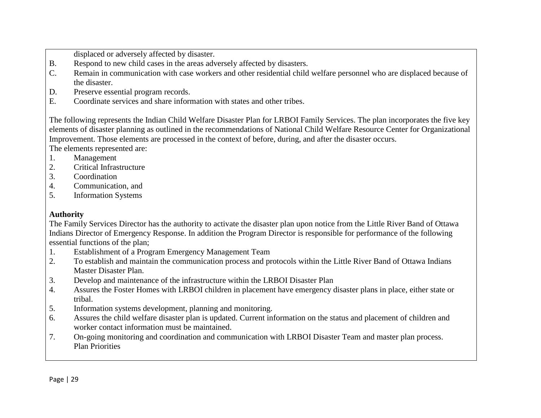displaced or adversely affected by disaster.

- B. Respond to new child cases in the areas adversely affected by disasters.
- C. Remain in communication with case workers and other residential child welfare personnel who are displaced because of the disaster.
- D. Preserve essential program records.
- E. Coordinate services and share information with states and other tribes.

The following represents the Indian Child Welfare Disaster Plan for LRBOI Family Services. The plan incorporates the five key elements of disaster planning as outlined in the recommendations of National Child Welfare Resource Center for Organizational Improvement. Those elements are processed in the context of before, during, and after the disaster occurs. The elements represented are:

1. Management

- 2. Critical Infrastructure
- 3. Coordination
- 4. Communication, and
- 5. Information Systems

### **Authority**

The Family Services Director has the authority to activate the disaster plan upon notice from the Little River Band of Ottawa Indians Director of Emergency Response. In addition the Program Director is responsible for performance of the following essential functions of the plan;

- 1. Establishment of a Program Emergency Management Team
- 2. To establish and maintain the communication process and protocols within the Little River Band of Ottawa Indians Master Disaster Plan.
- 3. Develop and maintenance of the infrastructure within the LRBOI Disaster Plan
- 4. Assures the Foster Homes with LRBOI children in placement have emergency disaster plans in place, either state or tribal.
- 5. Information systems development, planning and monitoring.
- 6. Assures the child welfare disaster plan is updated. Current information on the status and placement of children and worker contact information must be maintained.
- 7. On-going monitoring and coordination and communication with LRBOI Disaster Team and master plan process. Plan Priorities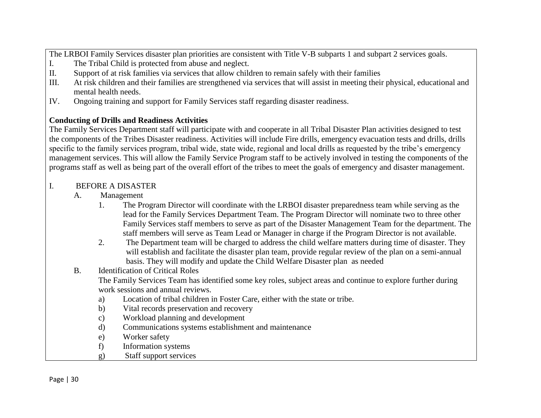The LRBOI Family Services disaster plan priorities are consistent with Title V-B subparts 1 and subpart 2 services goals.

- I. The Tribal Child is protected from abuse and neglect.
- II. Support of at risk families via services that allow children to remain safely with their families
- III. At risk children and their families are strengthened via services that will assist in meeting their physical, educational and mental health needs.
- IV. Ongoing training and support for Family Services staff regarding disaster readiness.

## **Conducting of Drills and Readiness Activities**

The Family Services Department staff will participate with and cooperate in all Tribal Disaster Plan activities designed to test the components of the Tribes Disaster readiness. Activities will include Fire drills, emergency evacuation tests and drills, drills specific to the family services program, tribal wide, state wide, regional and local drills as requested by the tribe's emergency management services. This will allow the Family Service Program staff to be actively involved in testing the components of the programs staff as well as being part of the overall effort of the tribes to meet the goals of emergency and disaster management.

#### I. BEFORE A DISASTER

#### A. Management

- 1. The Program Director will coordinate with the LRBOI disaster preparedness team while serving as the lead for the Family Services Department Team. The Program Director will nominate two to three other Family Services staff members to serve as part of the Disaster Management Team for the department. The staff members will serve as Team Lead or Manager in charge if the Program Director is not available.
- 2. The Department team will be charged to address the child welfare matters during time of disaster. They will establish and facilitate the disaster plan team, provide regular review of the plan on a semi-annual basis. They will modify and update the Child Welfare Disaster plan as needed

### B. Identification of Critical Roles

The Family Services Team has identified some key roles, subject areas and continue to explore further during work sessions and annual reviews.

- a) Location of tribal children in Foster Care, either with the state or tribe.
- b) Vital records preservation and recovery
- c) Workload planning and development
- d) Communications systems establishment and maintenance
- e) Worker safety
- f) Information systems
- g) Staff support services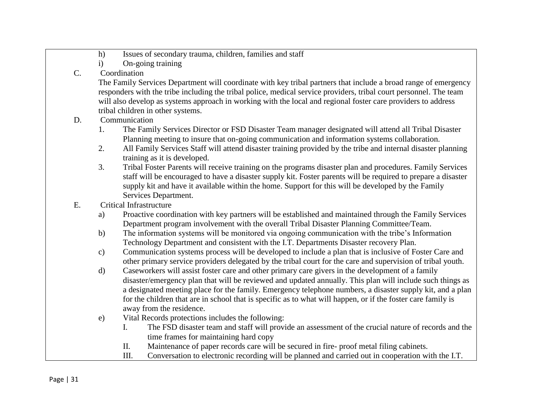- h) Issues of secondary trauma, children, families and staff
- i) On-going training

## C. Coordination

The Family Services Department will coordinate with key tribal partners that include a broad range of emergency responders with the tribe including the tribal police, medical service providers, tribal court personnel. The team will also develop as systems approach in working with the local and regional foster care providers to address tribal children in other systems.

## D. Communication

- 1. The Family Services Director or FSD Disaster Team manager designated will attend all Tribal Disaster Planning meeting to insure that on-going communication and information systems collaboration.
- 2. All Family Services Staff will attend disaster training provided by the tribe and internal disaster planning training as it is developed.
- 3. Tribal Foster Parents will receive training on the programs disaster plan and procedures. Family Services staff will be encouraged to have a disaster supply kit. Foster parents will be required to prepare a disaster supply kit and have it available within the home. Support for this will be developed by the Family Services Department.
- E. Critical Infrastructure
	- a) Proactive coordination with key partners will be established and maintained through the Family Services Department program involvement with the overall Tribal Disaster Planning Committee/Team.
	- b) The information systems will be monitored via ongoing communication with the tribe's Information Technology Department and consistent with the I.T. Departments Disaster recovery Plan.
	- c) Communication systems process will be developed to include a plan that is inclusive of Foster Care and other primary service providers delegated by the tribal court for the care and supervision of tribal youth.
	- d) Caseworkers will assist foster care and other primary care givers in the development of a family disaster/emergency plan that will be reviewed and updated annually. This plan will include such things as a designated meeting place for the family. Emergency telephone numbers, a disaster supply kit, and a plan for the children that are in school that is specific as to what will happen, or if the foster care family is away from the residence.
	- e) Vital Records protections includes the following:
		- I. The FSD disaster team and staff will provide an assessment of the crucial nature of records and the time frames for maintaining hard copy
		- II. Maintenance of paper records care will be secured in fire- proof metal filing cabinets.
		- III. Conversation to electronic recording will be planned and carried out in cooperation with the I.T.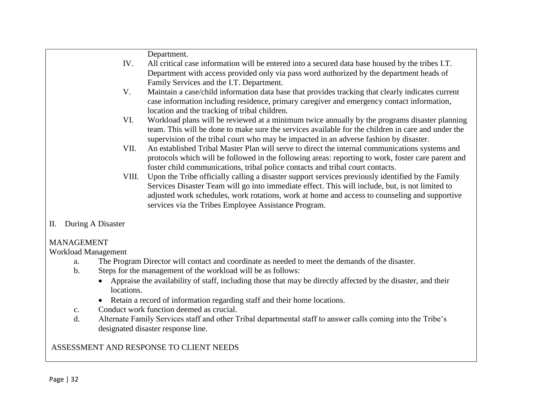|    |                   | Department.                                                                                                                                                                                          |
|----|-------------------|------------------------------------------------------------------------------------------------------------------------------------------------------------------------------------------------------|
|    | IV.               | All critical case information will be entered into a secured data base housed by the tribes I.T.                                                                                                     |
|    |                   | Department with access provided only via pass word authorized by the department heads of                                                                                                             |
|    |                   | Family Services and the I.T. Department.                                                                                                                                                             |
|    | V.                | Maintain a case/child information data base that provides tracking that clearly indicates current                                                                                                    |
|    |                   | case information including residence, primary caregiver and emergency contact information,                                                                                                           |
|    |                   | location and the tracking of tribal children.                                                                                                                                                        |
|    | VI.               | Workload plans will be reviewed at a minimum twice annually by the programs disaster planning                                                                                                        |
|    |                   | team. This will be done to make sure the services available for the children in care and under the                                                                                                   |
|    |                   | supervision of the tribal court who may be impacted in an adverse fashion by disaster.                                                                                                               |
|    | VII.              | An established Tribal Master Plan will serve to direct the internal communications systems and<br>protocols which will be followed in the following areas: reporting to work, foster care parent and |
|    |                   | foster child communications, tribal police contacts and tribal court contacts.                                                                                                                       |
|    | VIII.             | Upon the Tribe officially calling a disaster support services previously identified by the Family                                                                                                    |
|    |                   | Services Disaster Team will go into immediate effect. This will include, but, is not limited to                                                                                                      |
|    |                   | adjusted work schedules, work rotations, work at home and access to counseling and supportive                                                                                                        |
|    |                   | services via the Tribes Employee Assistance Program.                                                                                                                                                 |
|    |                   |                                                                                                                                                                                                      |
| П. | During A Disaster |                                                                                                                                                                                                      |
|    |                   |                                                                                                                                                                                                      |
|    | <b>MANAGEMENT</b> |                                                                                                                                                                                                      |

### MANAGEMENT

Workload Management

- a. The Program Director will contact and coordinate as needed to meet the demands of the disaster.
- b. Steps for the management of the workload will be as follows:
	- Appraise the availability of staff, including those that may be directly affected by the disaster, and their locations.
	- Retain a record of information regarding staff and their home locations.
- c. Conduct work function deemed as crucial.
- d. Alternate Family Services staff and other Tribal departmental staff to answer calls coming into the Tribe's designated disaster response line.

# ASSESSMENT AND RESPONSE TO CLIENT NEEDS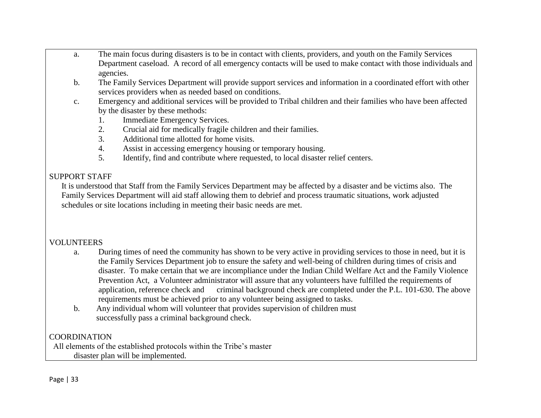- a. The main focus during disasters is to be in contact with clients, providers, and youth on the Family Services Department caseload. A record of all emergency contacts will be used to make contact with those individuals and agencies.
- b. The Family Services Department will provide support services and information in a coordinated effort with other services providers when as needed based on conditions.
- c. Emergency and additional services will be provided to Tribal children and their families who have been affected by the disaster by these methods:
	- 1. Immediate Emergency Services.
	- 2. Crucial aid for medically fragile children and their families.
	- 3. Additional time allotted for home visits.
	- 4. Assist in accessing emergency housing or temporary housing.
	- 5. Identify, find and contribute where requested, to local disaster relief centers.

#### SUPPORT STAFF

 It is understood that Staff from the Family Services Department may be affected by a disaster and be victims also. The Family Services Department will aid staff allowing them to debrief and process traumatic situations, work adjusted schedules or site locations including in meeting their basic needs are met.

### VOLUNTEERS

- a. During times of need the community has shown to be very active in providing services to those in need, but it is the Family Services Department job to ensure the safety and well-being of children during times of crisis and disaster. To make certain that we are incompliance under the Indian Child Welfare Act and the Family Violence Prevention Act, a Volunteer administrator will assure that any volunteers have fulfilled the requirements of application, reference check and criminal background check are completed under the P.L. 101-630. The above requirements must be achieved prior to any volunteer being assigned to tasks.
- b. Any individual whom will volunteer that provides supervision of children must successfully pass a criminal background check.

# COORDINATION

 All elements of the established protocols within the Tribe's master disaster plan will be implemented.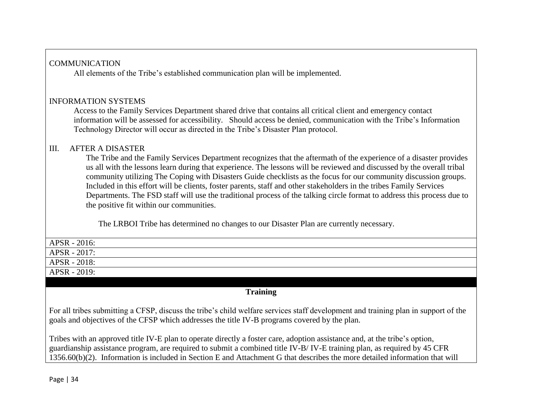## COMMUNICATION

All elements of the Tribe's established communication plan will be implemented.

## INFORMATION SYSTEMS

Access to the Family Services Department shared drive that contains all critical client and emergency contact information will be assessed for accessibility. Should access be denied, communication with the Tribe's Information Technology Director will occur as directed in the Tribe's Disaster Plan protocol.

## III. AFTER A DISASTER

 The Tribe and the Family Services Department recognizes that the aftermath of the experience of a disaster provides us all with the lessons learn during that experience. The lessons will be reviewed and discussed by the overall tribal community utilizing The Coping with Disasters Guide checklists as the focus for our community discussion groups. Included in this effort will be clients, foster parents, staff and other stakeholders in the tribes Family Services Departments. The FSD staff will use the traditional process of the talking circle format to address this process due to the positive fit within our communities.

The LRBOI Tribe has determined no changes to our Disaster Plan are currently necessary.

| APSR - 2016: |  |
|--------------|--|
| APSR - 2017: |  |
| APSR - 2018: |  |
| APSR - 2019: |  |

### **Training**

For all tribes submitting a CFSP, discuss the tribe's child welfare services staff development and training plan in support of the goals and objectives of the CFSP which addresses the title IV-B programs covered by the plan.

Tribes with an approved title IV-E plan to operate directly a foster care, adoption assistance and, at the tribe's option, guardianship assistance program, are required to submit a combined title IV-B/ IV-E training plan, as required by 45 CFR 1356.60(b)(2). Information is included in Section E and Attachment G that describes the more detailed information that will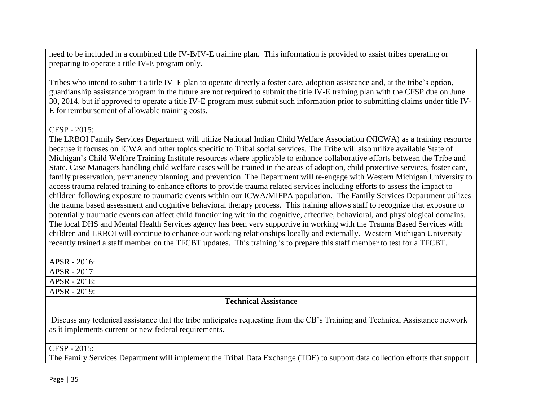need to be included in a combined title IV-B/IV-E training plan. This information is provided to assist tribes operating or preparing to operate a title IV-E program only.

Tribes who intend to submit a title IV–E plan to operate directly a foster care, adoption assistance and, at the tribe's option, guardianship assistance program in the future are not required to submit the title IV-E training plan with the CFSP due on June 30, 2014, but if approved to operate a title IV-E program must submit such information prior to submitting claims under title IV-E for reimbursement of allowable training costs.

CFSP - 2015:

The LRBOI Family Services Department will utilize National Indian Child Welfare Association (NICWA) as a training resource because it focuses on ICWA and other topics specific to Tribal social services. The Tribe will also utilize available State of Michigan's Child Welfare Training Institute resources where applicable to enhance collaborative efforts between the Tribe and State. Case Managers handling child welfare cases will be trained in the areas of adoption, child protective services, foster care, family preservation, permanency planning, and prevention. The Department will re-engage with Western Michigan University to access trauma related training to enhance efforts to provide trauma related services including efforts to assess the impact to children following exposure to traumatic events within our ICWA/MIFPA population. The Family Services Department utilizes the trauma based assessment and cognitive behavioral therapy process. This training allows staff to recognize that exposure to potentially traumatic events can affect child functioning within the cognitive, affective, behavioral, and physiological domains. The local DHS and Mental Health Services agency has been very supportive in working with the Trauma Based Services with children and LRBOI will continue to enhance our working relationships locally and externally. Western Michigan University recently trained a staff member on the TFCBT updates. This training is to prepare this staff member to test for a TFCBT.

| APSR - 2016: |  |
|--------------|--|
| APSR - 2017: |  |
| APSR - 2018: |  |
| APSR - 2019: |  |

### **Technical Assistance**

Discuss any technical assistance that the tribe anticipates requesting from the CB's Training and Technical Assistance network as it implements current or new federal requirements.

### CFSP - 2015:

The Family Services Department will implement the Tribal Data Exchange (TDE) to support data collection efforts that support